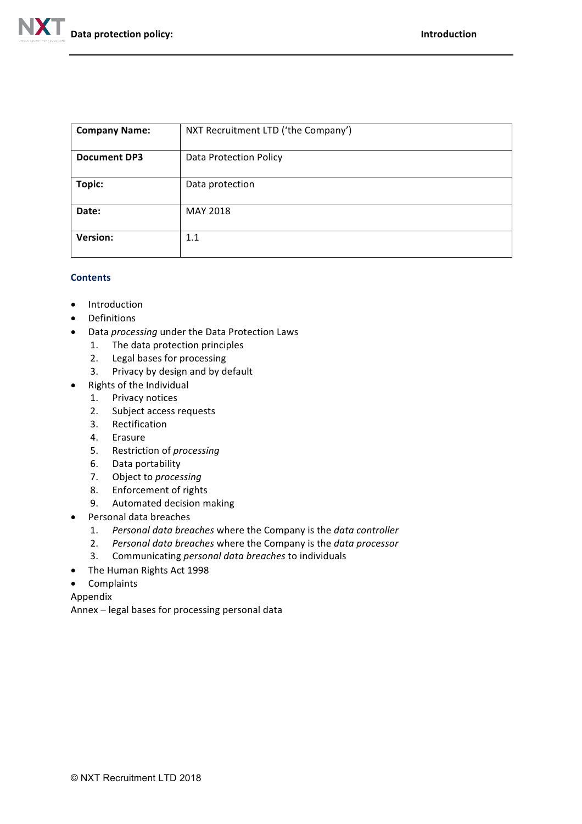

| <b>Company Name:</b> | NXT Recruitment LTD ('the Company') |
|----------------------|-------------------------------------|
| <b>Document DP3</b>  | <b>Data Protection Policy</b>       |
| Topic:               | Data protection                     |
| Date:                | MAY 2018                            |
| <b>Version:</b>      | 1.1                                 |

## **Contents**

- Introduction
- Definitions
- Data *processing* under the Data Protection Laws
	- 1. The data protection principles
	- 2. Legal bases for processing
	- 3. Privacy by design and by default
- Rights of the Individual
	- 1. Privacy notices
	- 2. Subject access requests
	- 3. Rectification
	- 4. Erasure
	- 5. Restriction of *processing*
	- 6. Data portability
	- 7. Object to *processing*
	- 8. Enforcement of rights
	- 9. Automated decision making
- Personal data breaches
	- 1. Personal data breaches where the Company is the data controller
	- 2. Personal data breaches where the Company is the data processor
	- 3. Communicating *personal data breaches* to individuals
- The Human Rights Act 1998
- Complaints
- Appendix

Annex - legal bases for processing personal data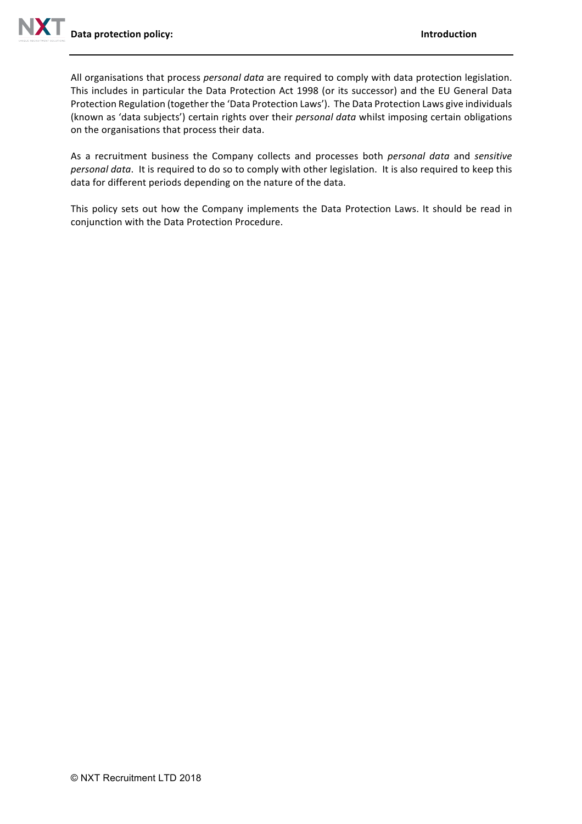All organisations that process *personal data* are required to comply with data protection legislation. This includes in particular the Data Protection Act 1998 (or its successor) and the EU General Data Protection Regulation (together the 'Data Protection Laws'). The Data Protection Laws give individuals (known as 'data subjects') certain rights over their *personal data* whilst imposing certain obligations on the organisations that process their data.

As a recruitment business the Company collects and processes both *personal data* and *sensitive personal data*. It is required to do so to comply with other legislation. It is also required to keep this data for different periods depending on the nature of the data.

This policy sets out how the Company implements the Data Protection Laws. It should be read in conjunction with the Data Protection Procedure.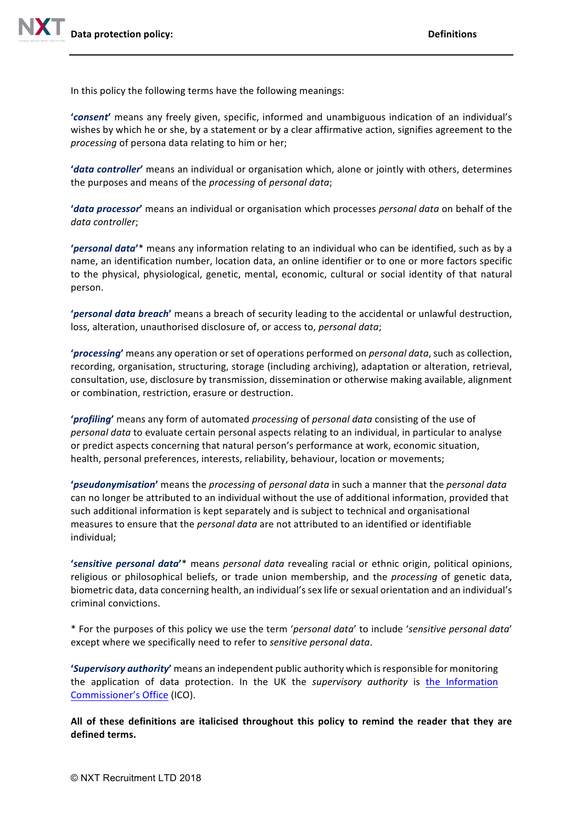In this policy the following terms have the following meanings:

'**consent'** means any freely given, specific, informed and unambiguous indication of an individual's wishes by which he or she, by a statement or by a clear affirmative action, signifies agreement to the *processing* of persona data relating to him or her;

**'***data controller*' means an individual or organisation which, alone or jointly with others, determines the purposes and means of the *processing* of *personal data*;

**'***data processor*' means an individual or organisation which processes personal data on behalf of the *data controller*;

**'***personal data'*\* means any information relating to an individual who can be identified, such as by a name, an identification number, location data, an online identifier or to one or more factors specific to the physical, physiological, genetic, mental, economic, cultural or social identity of that natural person. 

**'***personal data breach*' means a breach of security leading to the accidental or unlawful destruction, loss, alteration, unauthorised disclosure of, or access to, *personal data*;

**'***processing*' means any operation or set of operations performed on *personal data*, such as collection, recording, organisation, structuring, storage (including archiving), adaptation or alteration, retrieval, consultation, use, disclosure by transmission, dissemination or otherwise making available, alignment or combination, restriction, erasure or destruction.

**'***profiling*' means any form of automated *processing* of *personal* data consisting of the use of *personal data* to evaluate certain personal aspects relating to an individual, in particular to analyse or predict aspects concerning that natural person's performance at work, economic situation, health, personal preferences, interests, reliability, behaviour, location or movements;

**'***pseudonymisation'* means the *processing* of *personal* data in such a manner that the *personal* data can no longer be attributed to an individual without the use of additional information, provided that such additional information is kept separately and is subject to technical and organisational measures to ensure that the *personal data* are not attributed to an identified or identifiable individual;

'sensitive personal data'\* means personal data revealing racial or ethnic origin, political opinions, religious or philosophical beliefs, or trade union membership, and the *processing* of genetic data, biometric data, data concerning health, an individual's sex life or sexual orientation and an individual's criminal convictions.

\* For the purposes of this policy we use the term 'personal data' to include 'sensitive personal data' except where we specifically need to refer to *sensitive personal data*.

**'***Supervisory authority'* means an independent public authority which is responsible for monitoring the application of data protection. In the UK the *supervisory authority* is the Information Commissioner's Office (ICO).

All of these definitions are italicised throughout this policy to remind the reader that they are **defined terms.**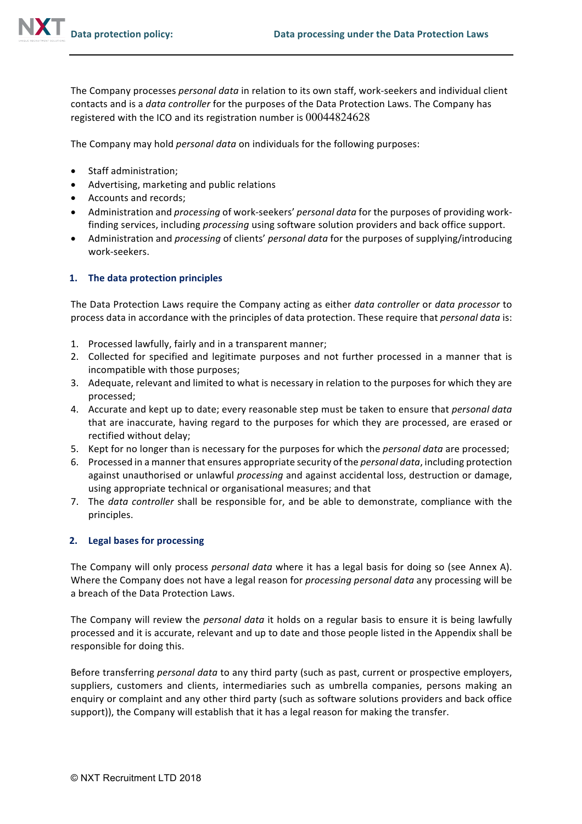The Company processes *personal data* in relation to its own staff, work-seekers and individual client contacts and is a *data controller* for the purposes of the Data Protection Laws. The Company has registered with the ICO and its registration number is  $00044824628$ 

The Company may hold *personal data* on individuals for the following purposes:

- Staff administration;
- Advertising, marketing and public relations
- Accounts and records;
- Administration and *processing* of work-seekers' *personal data* for the purposes of providing workfinding services, including *processing* using software solution providers and back office support.
- Administration and *processing* of clients' *personal data* for the purposes of supplying/introducing work-seekers.

### 1. The data protection principles

The Data Protection Laws require the Company acting as either *data controller* or *data processor* to process data in accordance with the principles of data protection. These require that *personal data* is:

- 1. Processed lawfully, fairly and in a transparent manner;
- 2. Collected for specified and legitimate purposes and not further processed in a manner that is incompatible with those purposes;
- 3. Adequate, relevant and limited to what is necessary in relation to the purposes for which they are processed;
- 4. Accurate and kept up to date; every reasonable step must be taken to ensure that *personal data* that are inaccurate, having regard to the purposes for which they are processed, are erased or rectified without delay;
- 5. Kept for no longer than is necessary for the purposes for which the *personal data* are processed;
- 6. Processed in a manner that ensures appropriate security of the *personal data*, including protection against unauthorised or unlawful *processing* and against accidental loss, destruction or damage, using appropriate technical or organisational measures; and that
- 7. The *data controller* shall be responsible for, and be able to demonstrate, compliance with the principles.

## **2.** Legal bases for processing

The Company will only process *personal data* where it has a legal basis for doing so (see Annex A). Where the Company does not have a legal reason for *processing personal data* any processing will be a breach of the Data Protection Laws.

The Company will review the *personal data* it holds on a regular basis to ensure it is being lawfully processed and it is accurate, relevant and up to date and those people listed in the Appendix shall be responsible for doing this.

Before transferring *personal data* to any third party (such as past, current or prospective employers, suppliers, customers and clients, intermediaries such as umbrella companies, persons making an enquiry or complaint and any other third party (such as software solutions providers and back office support)), the Company will establish that it has a legal reason for making the transfer.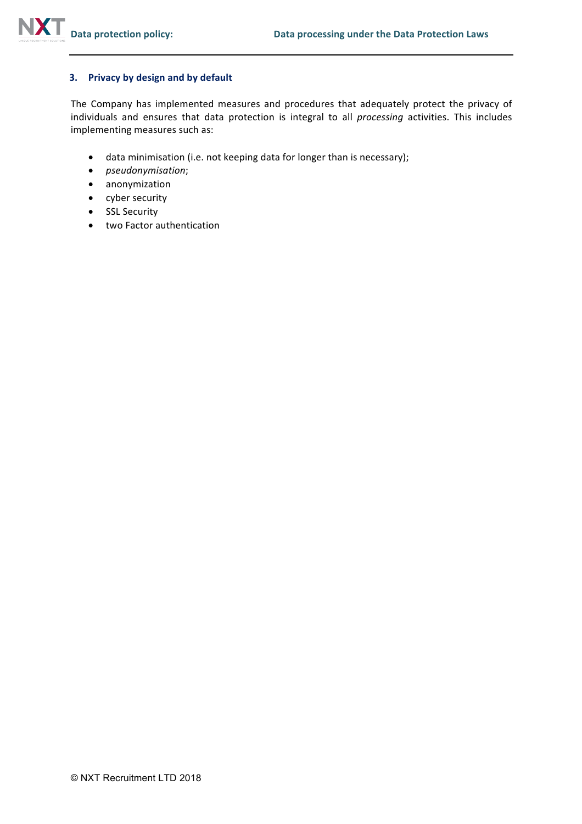### **3. Privacy by design and by default**

The Company has implemented measures and procedures that adequately protect the privacy of individuals and ensures that data protection is integral to all *processing* activities. This includes implementing measures such as:

- data minimisation (i.e. not keeping data for longer than is necessary);
- *pseudonymisation*;
- anonymization
- cyber security
- SSL Security
- two Factor authentication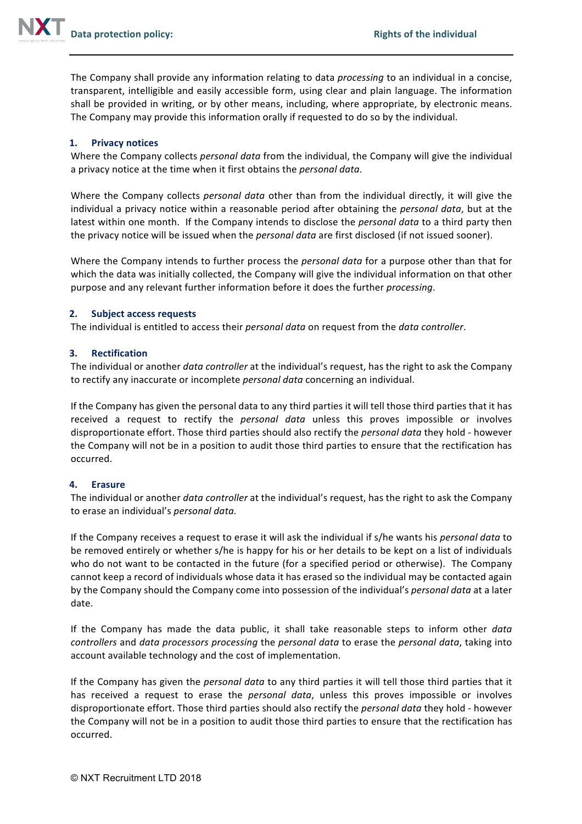

The Company shall provide any information relating to data *processing* to an individual in a concise, transparent, intelligible and easily accessible form, using clear and plain language. The information shall be provided in writing, or by other means, including, where appropriate, by electronic means. The Company may provide this information orally if requested to do so by the individual.

### **1. Privacy notices**

Where the Company collects *personal data* from the individual, the Company will give the individual a privacy notice at the time when it first obtains the *personal data*.

Where the Company collects *personal data* other than from the individual directly, it will give the individual a privacy notice within a reasonable period after obtaining the *personal data*, but at the latest within one month. If the Company intends to disclose the *personal data* to a third party then the privacy notice will be issued when the *personal data* are first disclosed (if not issued sooner).

Where the Company intends to further process the *personal data* for a purpose other than that for which the data was initially collected, the Company will give the individual information on that other purpose and any relevant further information before it does the further *processing*.

### **2.** Subject access requests

The individual is entitled to access their *personal data* on request from the *data controller*.

#### **3. Rectification**

The individual or another *data controller* at the individual's request, has the right to ask the Company to rectify any inaccurate or incomplete *personal data* concerning an individual.

If the Company has given the personal data to any third parties it will tell those third parties that it has received a request to rectify the *personal data* unless this proves impossible or involves disproportionate effort. Those third parties should also rectify the *personal data* they hold - however the Company will not be in a position to audit those third parties to ensure that the rectification has occurred.

### **4. Erasure**

The individual or another *data controller* at the individual's request, has the right to ask the Company to erase an individual's *personal data.* 

If the Company receives a request to erase it will ask the individual if s/he wants his *personal data* to be removed entirely or whether s/he is happy for his or her details to be kept on a list of individuals who do not want to be contacted in the future (for a specified period or otherwise). The Company cannot keep a record of individuals whose data it has erased so the individual may be contacted again by the Company should the Company come into possession of the individual's *personal data* at a later date.

If the Company has made the data public, it shall take reasonable steps to inform other *data controllers* and *data processors processing* the *personal data* to erase the *personal data*, taking into account available technology and the cost of implementation.

If the Company has given the *personal data* to any third parties it will tell those third parties that it has received a request to erase the *personal data*, unless this proves impossible or involves disproportionate effort. Those third parties should also rectify the *personal data* they hold - however the Company will not be in a position to audit those third parties to ensure that the rectification has occurred.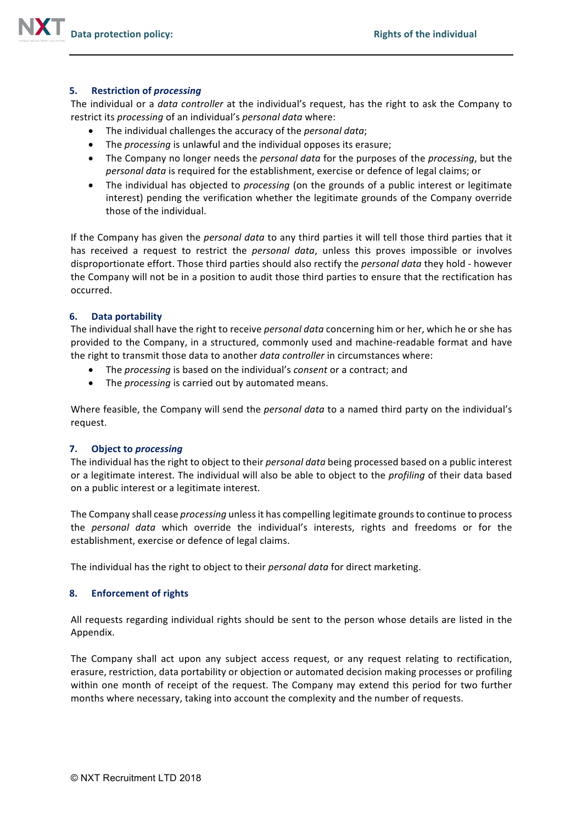### **5.** Restriction of *processing*

The individual or a *data controller* at the individual's request, has the right to ask the Company to restrict its *processing* of an individual's *personal data* where:

- The individual challenges the accuracy of the *personal data*;
- The *processing* is unlawful and the individual opposes its erasure;
- The Company no longer needs the *personal data* for the purposes of the *processing*, but the *personal data* is required for the establishment, exercise or defence of legal claims; or
- The individual has objected to *processing* (on the grounds of a public interest or legitimate interest) pending the verification whether the legitimate grounds of the Company override those of the individual.

If the Company has given the *personal data* to any third parties it will tell those third parties that it has received a request to restrict the *personal data*, unless this proves impossible or involves disproportionate effort. Those third parties should also rectify the *personal data* they hold - however the Company will not be in a position to audit those third parties to ensure that the rectification has occurred. 

### **6. Data portability**

The individual shall have the right to receive *personal data* concerning him or her, which he or she has provided to the Company, in a structured, commonly used and machine-readable format and have the right to transmit those data to another *data controller* in circumstances where:

- The *processing* is based on the individual's *consent* or a contract; and
- The *processing* is carried out by automated means.

Where feasible, the Company will send the *personal data* to a named third party on the individual's request. 

### **7.** Object to processing

The individual has the right to object to their *personal data* being processed based on a public interest or a legitimate interest. The individual will also be able to object to the *profiling* of their data based on a public interest or a legitimate interest.

The Company shall cease *processing* unless it has compelling legitimate grounds to continue to process the *personal data* which override the individual's interests, rights and freedoms or for the establishment, exercise or defence of legal claims.

The individual has the right to object to their *personal data* for direct marketing.

### **8. Enforcement of rights**

All requests regarding individual rights should be sent to the person whose details are listed in the Appendix.

The Company shall act upon any subject access request, or any request relating to rectification, erasure, restriction, data portability or objection or automated decision making processes or profiling within one month of receipt of the request. The Company may extend this period for two further months where necessary, taking into account the complexity and the number of requests.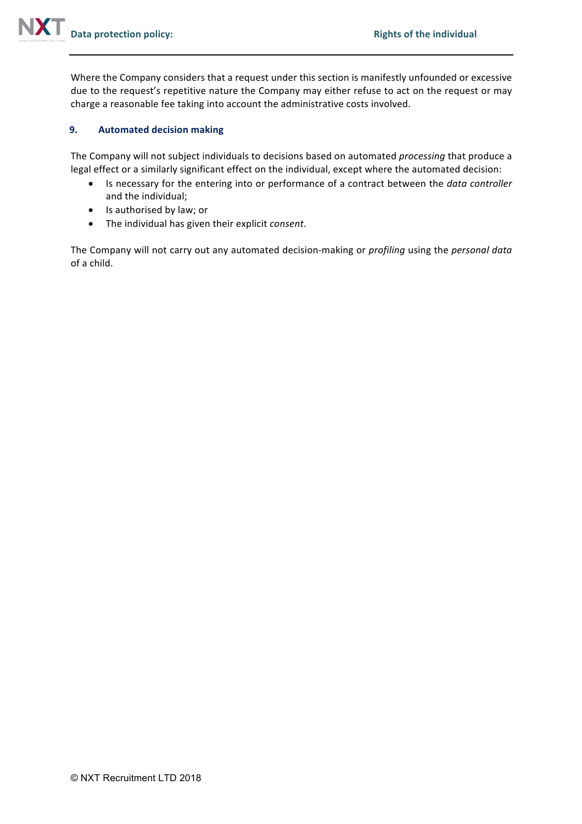Where the Company considers that a request under this section is manifestly unfounded or excessive due to the request's repetitive nature the Company may either refuse to act on the request or may charge a reasonable fee taking into account the administrative costs involved.

## **9. Automated decision making**

The Company will not subject individuals to decisions based on automated *processing* that produce a legal effect or a similarly significant effect on the individual, except where the automated decision:

- Is necessary for the entering into or performance of a contract between the *data controller* and the individual;
- Is authorised by law; or
- The individual has given their explicit *consent*.

The Company will not carry out any automated decision-making or *profiling* using the *personal data* of a child.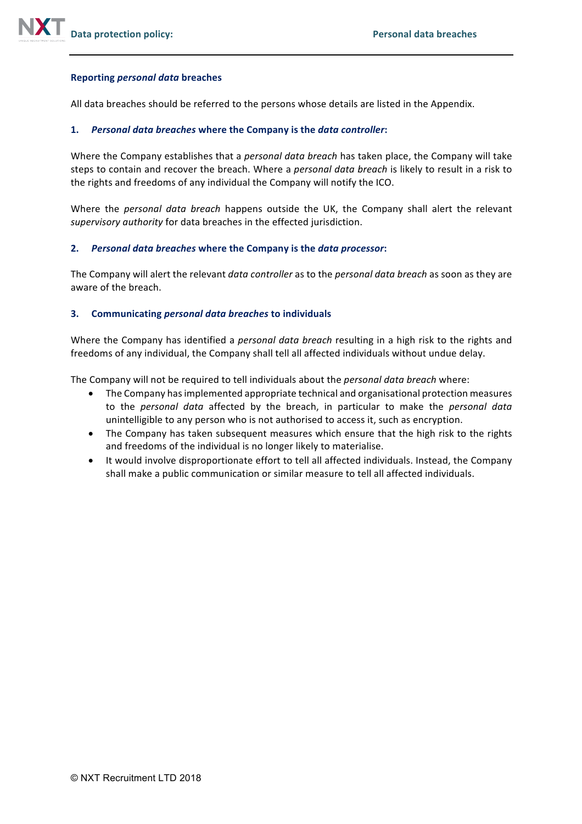### **Reporting** *personal data* **breaches**

All data breaches should be referred to the persons whose details are listed in the Appendix.

### **1.** *Personal data breaches* **where the Company is the** *data controller***:**

Where the Company establishes that a *personal data breach* has taken place, the Company will take steps to contain and recover the breach. Where a *personal data breach* is likely to result in a risk to the rights and freedoms of any individual the Company will notify the ICO.

Where the *personal data breach* happens outside the UK, the Company shall alert the relevant supervisory authority for data breaches in the effected jurisdiction.

### **2.** *Personal data breaches* **where the Company is the** *data processor***:**

The Company will alert the relevant *data controller* as to the *personal data breach* as soon as they are aware of the breach.

### **3. Communicating** *personal data breaches* **to individuals**

Where the Company has identified a *personal data breach* resulting in a high risk to the rights and freedoms of any individual, the Company shall tell all affected individuals without undue delay.

The Company will not be required to tell individuals about the *personal data breach* where:

- The Company has implemented appropriate technical and organisational protection measures to the *personal data* affected by the breach, in particular to make the *personal data* unintelligible to any person who is not authorised to access it, such as encryption.
- The Company has taken subsequent measures which ensure that the high risk to the rights and freedoms of the individual is no longer likely to materialise.
- It would involve disproportionate effort to tell all affected individuals. Instead, the Company shall make a public communication or similar measure to tell all affected individuals.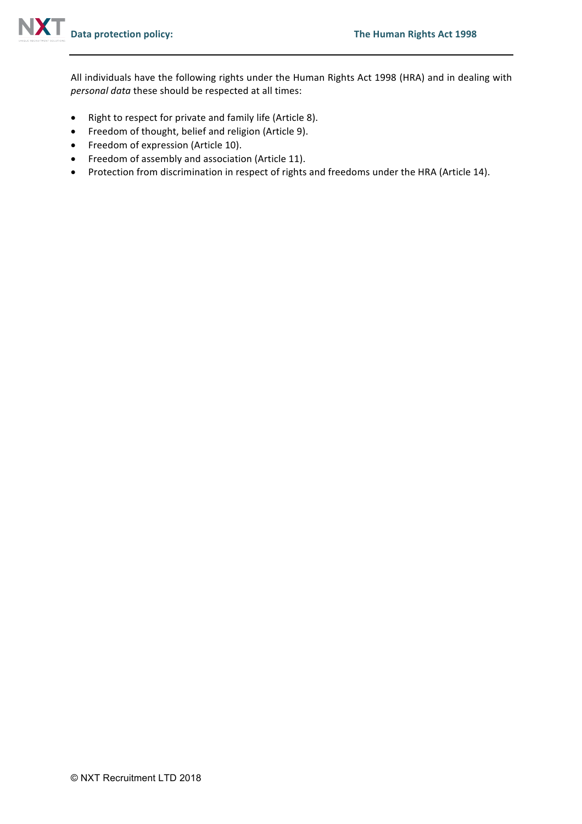All individuals have the following rights under the Human Rights Act 1998 (HRA) and in dealing with *personal data* these should be respected at all times:

- Right to respect for private and family life (Article 8).
- Freedom of thought, belief and religion (Article 9).
- Freedom of expression (Article 10).
- Freedom of assembly and association (Article 11).
- Protection from discrimination in respect of rights and freedoms under the HRA (Article 14).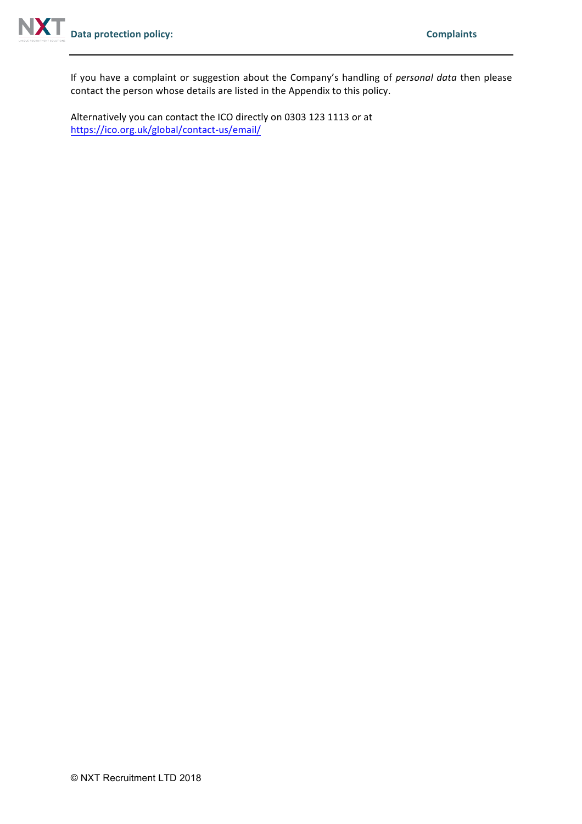If you have a complaint or suggestion about the Company's handling of *personal data* then please contact the person whose details are listed in the Appendix to this policy.

Alternatively you can contact the ICO directly on 0303 123 1113 or at https://ico.org.uk/global/contact-us/email/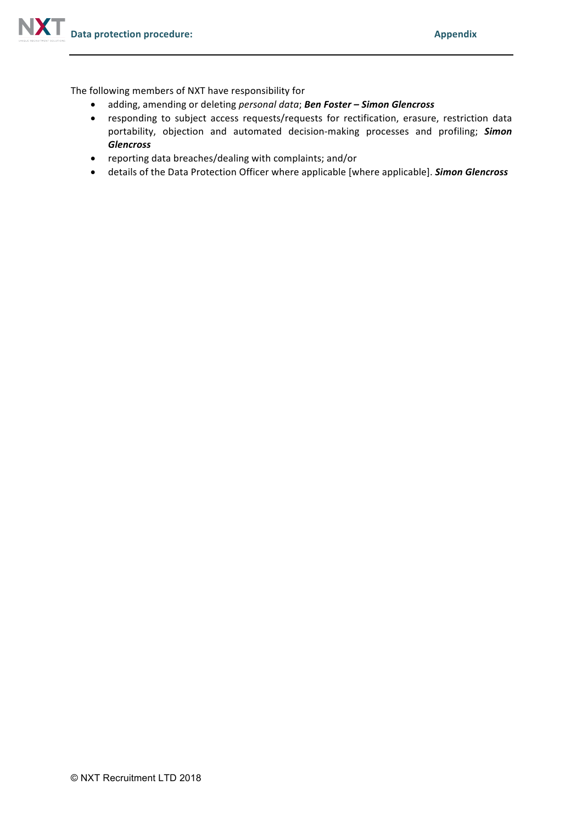The following members of NXT have responsibility for

- adding, amending or deleting *personal data*; **Ben Foster Simon Glencross**
- responding to subject access requests/requests for rectification, erasure, restriction data portability, objection and automated decision-making processes and profiling; **Simon** *Glencross*
- reporting data breaches/dealing with complaints; and/or
- details of the Data Protection Officer where applicable [where applicable]. **Simon Glencross**